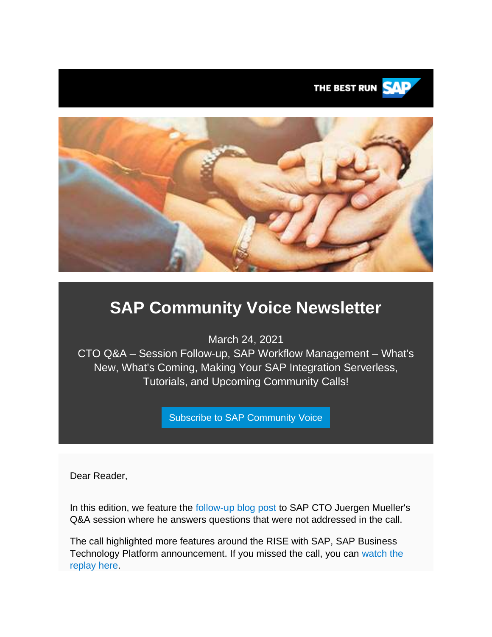



# **SAP Community Voice Newsletter**

March 24, 2021

CTO Q&A – Session Follow-up, SAP Workflow Management – What's New, What's Coming, Making Your SAP Integration Serverless, Tutorials, and Upcoming Community Calls!

[Subscribe to SAP Community Voice](https://s4cloudae36f1aac.hana.ondemand.com/data-buffer/sap/public/cuan/link/100/7D667C6D5241945403E837F1C7487909EC40799A?_V_=2&_K11_=78472321ECF2480FE7E8FD28BD5C14BF395257EB&_L54AD1F204_=c2NlbmFyaW89TUxDUEcmdGVuYW50PW15MzAwNzIzLnM0aGFuYS5vbmRlbWFuZC5jb20mdGFyZ2V0PWh0dHBzOi8vd3d3LnNhcC5jb20vY21wL25sL3NhcC1jb21tdW5pdHktdm9pY2UvaW5kZXguaHRtbD9zb3VyY2U9ZW1haWwtZy1jb21tdW5pdHktbmV3c2xldHRlci1NQVIyMSZzYXAtb3V0Ym91bmQtaWQ9N0Q2NjdDNkQ1MjQxOTQ1NDAzRTgzN0YxQzc0ODc5MDlFQzQwNzk5QSZzbWNfY2FtcGFpZ25faWQ9MDAwMDAxNjI0NyZzb3VyY2U9ZW1haWwtc21j&_K13_=259&_K14_=8f63c7e5b913b487c87968f56d18699b3845c0729574af09a7d143d650fc8933)

Dear Reader,

In this edition, we feature the [follow-up blog post](https://s4cloudae36f1aac.hana.ondemand.com/data-buffer/sap/public/cuan/link/100/7D667C6D5241945403E837F1C7487909EC40799A?_V_=2&_K11_=EE482C55EFDBAC379564726F9C45287B3A7619FC&_L54AD1F204_=c2NlbmFyaW89TUxDUEcmdGVuYW50PW15MzAwNzIzLnM0aGFuYS5vbmRlbWFuZC5jb20mdGFyZ2V0PWh0dHBzOi8vYmxvZ3Muc2FwLmNvbS8yMDIxLzAzLzEwL2N0by1xYS1zZXNzaW9uLWZvbGxvdy11cC8/c291cmNlPWVtYWlsLWctY29tbXVuaXR5LW5ld3NsZXR0ZXItTUFSMjEmc2FwLW91dGJvdW5kLWlkPTdENjY3QzZENTI0MTk0NTQwM0U4MzdGMUM3NDg3OTA5RUM0MDc5OUEmc21jX2NhbXBhaWduX2lkPTAwMDAwMTYyNDcmc291cmNlPWVtYWlsLXNtYw&_K13_=259&_K14_=b3ffab472e65e1480d8a22a396131ddcae968fdf6b4834102dec44395ea05883) to SAP CTO Juergen Mueller's Q&A session where he answers questions that were not addressed in the call.

The call highlighted more features around the RISE with SAP, SAP Business Technology Platform announcement. If you missed the call, you can [watch the](https://s4cloudae36f1aac.hana.ondemand.com/data-buffer/sap/public/cuan/link/100/7D667C6D5241945403E837F1C7487909EC40799A?_V_=2&_K11_=472E24EB8A5682B8AF06615039C816E3EB5CD284&_L54AD1F204_=c2NlbmFyaW89TUxDUEcmdGVuYW50PW15MzAwNzIzLnM0aGFuYS5vbmRlbWFuZC5jb20mdGFyZ2V0PWh0dHBzOi8vY29tbXVuaXR5LnNhcC5jb20vbWVkaWEvc2FwLWNvbW11bml0eS1jYWxscy9xLWEtd2l0aC1zYXAtY3RvLWp1ZXJnZW4tbXVlbGxlcj9zb3VyY2U9ZW1haWwtZy1jb21tdW5pdHktbmV3c2xldHRlci1NQVIyMSZzYXAtb3V0Ym91bmQtaWQ9N0Q2NjdDNkQ1MjQxOTQ1NDAzRTgzN0YxQzc0ODc5MDlFQzQwNzk5QSZzbWNfY2FtcGFpZ25faWQ9MDAwMDAxNjI0NyZzb3VyY2U9ZW1haWwtc21j&_K13_=259&_K14_=bc68b5af760935d4327dc45f96599a7cb63b384e546c6c5b777b876a4bad41ae)  [replay here.](https://s4cloudae36f1aac.hana.ondemand.com/data-buffer/sap/public/cuan/link/100/7D667C6D5241945403E837F1C7487909EC40799A?_V_=2&_K11_=472E24EB8A5682B8AF06615039C816E3EB5CD284&_L54AD1F204_=c2NlbmFyaW89TUxDUEcmdGVuYW50PW15MzAwNzIzLnM0aGFuYS5vbmRlbWFuZC5jb20mdGFyZ2V0PWh0dHBzOi8vY29tbXVuaXR5LnNhcC5jb20vbWVkaWEvc2FwLWNvbW11bml0eS1jYWxscy9xLWEtd2l0aC1zYXAtY3RvLWp1ZXJnZW4tbXVlbGxlcj9zb3VyY2U9ZW1haWwtZy1jb21tdW5pdHktbmV3c2xldHRlci1NQVIyMSZzYXAtb3V0Ym91bmQtaWQ9N0Q2NjdDNkQ1MjQxOTQ1NDAzRTgzN0YxQzc0ODc5MDlFQzQwNzk5QSZzbWNfY2FtcGFpZ25faWQ9MDAwMDAxNjI0NyZzb3VyY2U9ZW1haWwtc21j&_K13_=259&_K14_=bc68b5af760935d4327dc45f96599a7cb63b384e546c6c5b777b876a4bad41ae)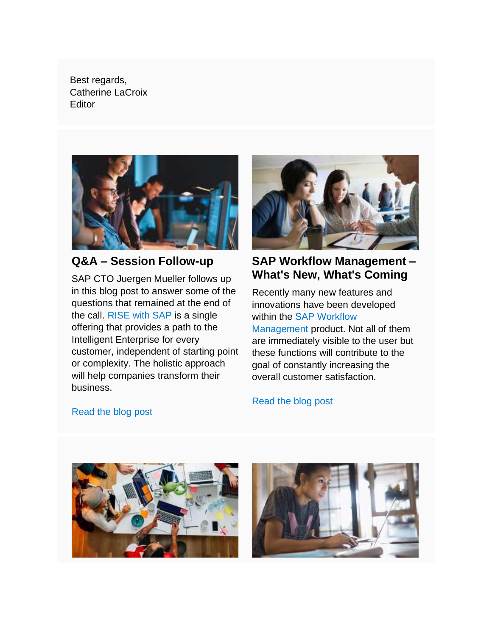Best regards, Catherine LaCroix **Editor** 



### **Q&A – Session Follow-up**

SAP CTO Juergen Mueller follows up in this blog post to answer some of the questions that remained at the end of the call. [RISE with SAP](https://s4cloudae36f1aac.hana.ondemand.com/data-buffer/sap/public/cuan/link/100/7D667C6D5241945403E837F1C7487909EC40799A?_V_=2&_K11_=BDC5A61BEF18B17F4D0B504C8F3F2F2865D321C1&_L54AD1F204_=c2NlbmFyaW89TUxDUEcmdGVuYW50PW15MzAwNzIzLnM0aGFuYS5vbmRlbWFuZC5jb20mdGFyZ2V0PWh0dHBzOi8vd3d3LnNhcC5jb20vcHJvZHVjdHMvcmlzZS5odG1sP3NvdXJjZT1lbWFpbC1nLWNvbW11bml0eS1uZXdzbGV0dGVyLU1BUjIxJnNhcC1vdXRib3VuZC1pZD03RDY2N0M2RDUyNDE5NDU0MDNFODM3RjFDNzQ4NzkwOUVDNDA3OTlBJnNtY19jYW1wYWlnbl9pZD0wMDAwMDE2MjQ3JnNvdXJjZT1lbWFpbC1zbWM&_K13_=259&_K14_=0b335fb5ef1997346a3a2a7a478d5a187e25add63084ef4f355a656f186ffcff) is a single offering that provides a path to the Intelligent Enterprise for every customer, independent of starting point or complexity. The holistic approach will help companies transform their business.



### **SAP Workflow Management – What's New, What's Coming**

Recently many new features and innovations have been developed within the [SAP Workflow](https://s4cloudae36f1aac.hana.ondemand.com/data-buffer/sap/public/cuan/link/100/7D667C6D5241945403E837F1C7487909EC40799A?_V_=2&_K11_=6B8A115A98E1D6BE82EFE06F8D49F85331345A4F&_L54AD1F204_=c2NlbmFyaW89TUxDUEcmdGVuYW50PW15MzAwNzIzLnM0aGFuYS5vbmRlbWFuZC5jb20mdGFyZ2V0PWh0dHBzOi8vY29tbXVuaXR5LnNhcC5jb20vdG9waWNzL2RpZ2l0YWwtcHJvY2Vzcy1hdXRvbWF0aW9uP3NvdXJjZT1lbWFpbC1nLWNvbW11bml0eS1uZXdzbGV0dGVyLU1BUjIxJnNhcC1vdXRib3VuZC1pZD03RDY2N0M2RDUyNDE5NDU0MDNFODM3RjFDNzQ4NzkwOUVDNDA3OTlBJnNtY19jYW1wYWlnbl9pZD0wMDAwMDE2MjQ3JnNvdXJjZT1lbWFpbC1zbWM&_K13_=259&_K14_=97e14b5f07107e6a98a1e5900295aa970e2dcefcc4d663244425c043a45d57da)  [Management](https://s4cloudae36f1aac.hana.ondemand.com/data-buffer/sap/public/cuan/link/100/7D667C6D5241945403E837F1C7487909EC40799A?_V_=2&_K11_=6B8A115A98E1D6BE82EFE06F8D49F85331345A4F&_L54AD1F204_=c2NlbmFyaW89TUxDUEcmdGVuYW50PW15MzAwNzIzLnM0aGFuYS5vbmRlbWFuZC5jb20mdGFyZ2V0PWh0dHBzOi8vY29tbXVuaXR5LnNhcC5jb20vdG9waWNzL2RpZ2l0YWwtcHJvY2Vzcy1hdXRvbWF0aW9uP3NvdXJjZT1lbWFpbC1nLWNvbW11bml0eS1uZXdzbGV0dGVyLU1BUjIxJnNhcC1vdXRib3VuZC1pZD03RDY2N0M2RDUyNDE5NDU0MDNFODM3RjFDNzQ4NzkwOUVDNDA3OTlBJnNtY19jYW1wYWlnbl9pZD0wMDAwMDE2MjQ3JnNvdXJjZT1lbWFpbC1zbWM&_K13_=259&_K14_=97e14b5f07107e6a98a1e5900295aa970e2dcefcc4d663244425c043a45d57da) product. Not all of them are immediately visible to the user but these functions will contribute to the goal of constantly increasing the overall customer satisfaction.

[Read the blog post](https://s4cloudae36f1aac.hana.ondemand.com/data-buffer/sap/public/cuan/link/100/7D667C6D5241945403E837F1C7487909EC40799A?_V_=2&_K11_=3560BC720BA50B9EE77CF8901739C2A11C73E174&_L54AD1F204_=c2NlbmFyaW89TUxDUEcmdGVuYW50PW15MzAwNzIzLnM0aGFuYS5vbmRlbWFuZC5jb20mdGFyZ2V0PWh0dHBzOi8vYmxvZ3Muc2FwLmNvbS8yMDIxLzAzLzEwL2N0by1xYS1zZXNzaW9uLWZvbGxvdy11cC8vP3NvdXJjZT1lbWFpbC1nLWNvbW11bml0eS1uZXdzbGV0dGVyLU1BUjIxJnNhcC1vdXRib3VuZC1pZD03RDY2N0M2RDUyNDE5NDU0MDNFODM3RjFDNzQ4NzkwOUVDNDA3OTlBJnNtY19jYW1wYWlnbl9pZD0wMDAwMDE2MjQ3JnNvdXJjZT1lbWFpbC1zbWM&_K13_=259&_K14_=9d65a27f9e5c7873ee8554214658a34e6a775fa7b078741c5daaeaf3647e9c1d)

[Read the blog post](https://s4cloudae36f1aac.hana.ondemand.com/data-buffer/sap/public/cuan/link/100/7D667C6D5241945403E837F1C7487909EC40799A?_V_=2&_K11_=44D5DFDF2F3A1AC19F01BBA72A6E2D77E736B171&_L54AD1F204_=c2NlbmFyaW89TUxDUEcmdGVuYW50PW15MzAwNzIzLnM0aGFuYS5vbmRlbWFuZC5jb20mdGFyZ2V0PWh0dHBzOi8vYmxvZ3Muc2FwLmNvbS8yMDIxLzAzLzA4L3NhcC13b3JrZmxvdy1tYW5hZ2VtZW50LXdoYXRzLW5ldy13aGF0cy1jb21pbmcvP3VybF9pZD10ZXh0LWctaHBmZWF0dXJlLXRvbS1NQVIyMS8/c291cmNlPWVtYWlsLWctY29tbXVuaXR5LW5ld3NsZXR0ZXItTUFSMjEmc2FwLW91dGJvdW5kLWlkPTdENjY3QzZENTI0MTk0NTQwM0U4MzdGMUM3NDg3OTA5RUM0MDc5OUEmc21jX2NhbXBhaWduX2lkPTAwMDAwMTYyNDcmc291cmNlPWVtYWlsLXNtYw&_K13_=259&_K14_=0add32a26e7d4424d2228361ab02b887edaaff1200aa945b4042a279603f1a99)



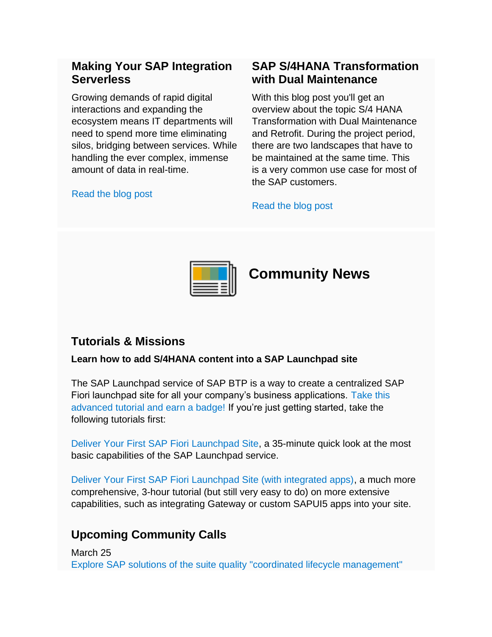### **Making Your SAP Integration Serverless**

Growing demands of rapid digital interactions and expanding the ecosystem means IT departments will need to spend more time eliminating silos, bridging between services. While handling the ever complex, immense amount of data in real-time.

#### [Read the blog post](https://s4cloudae36f1aac.hana.ondemand.com/data-buffer/sap/public/cuan/link/100/7D667C6D5241945403E837F1C7487909EC40799A?_V_=2&_K11_=987342AE88BB5AFBB6B53296DB9467E39DDAC664&_L54AD1F204_=c2NlbmFyaW89TUxDUEcmdGVuYW50PW15MzAwNzIzLnM0aGFuYS5vbmRlbWFuZC5jb20mdGFyZ2V0PWh0dHBzOi8vYmxvZ3Muc2FwLmNvbS8yMDIxLzAzLzA1L21ha2luZy15b3VyLXNhcC1pbnRlZ3JhdGlvbi1zZXJ2ZXJsZXNzLy8/c291cmNlPWVtYWlsLWctY29tbXVuaXR5LW5ld3NsZXR0ZXItTUFSMjEmc2FwLW91dGJvdW5kLWlkPTdENjY3QzZENTI0MTk0NTQwM0U4MzdGMUM3NDg3OTA5RUM0MDc5OUEmc21jX2NhbXBhaWduX2lkPTAwMDAwMTYyNDcmc291cmNlPWVtYWlsLXNtYw&_K13_=259&_K14_=7a748dc0988926f3c88ec15c18b54c60524f7ef34bb38417bfc842c92683ba28)

### **SAP S/4HANA Transformation with Dual Maintenance**

With this blog post you'll get an overview about the topic S/4 HANA Transformation with Dual Maintenance and Retrofit. During the project period, there are two landscapes that have to be maintained at the same time. This is a very common use case for most of the SAP customers.

#### [Read the blog post](https://s4cloudae36f1aac.hana.ondemand.com/data-buffer/sap/public/cuan/link/100/7D667C6D5241945403E837F1C7487909EC40799A?_V_=2&_K11_=E53CEDE5366138E3F43EF51F7635FD0EB558B21E&_L54AD1F204_=c2NlbmFyaW89TUxDUEcmdGVuYW50PW15MzAwNzIzLnM0aGFuYS5vbmRlbWFuZC5jb20mdGFyZ2V0PWh0dHBzOi8vYmxvZ3Muc2FwLmNvbS8yMDIxLzAzLzEzL3MtNC1oYW5hLXRyYW5zZm9ybWF0aW9uLXdpdGgtZHVhbC1tYWludGVuYW5jZS1hbmQtcmV0cm9maXQvLz9zb3VyY2U9ZW1haWwtZy1jb21tdW5pdHktbmV3c2xldHRlci1NQVIyMSZzYXAtb3V0Ym91bmQtaWQ9N0Q2NjdDNkQ1MjQxOTQ1NDAzRTgzN0YxQzc0ODc5MDlFQzQwNzk5QSZzbWNfY2FtcGFpZ25faWQ9MDAwMDAxNjI0NyZzb3VyY2U9ZW1haWwtc21j&_K13_=259&_K14_=356feef55ac8c218eaeef1b4d9f3bd9b250b86b1a325fa2842bc3170f2042f57)



### **Tutorials & Missions**

#### **Learn how to add S/4HANA content into a SAP Launchpad site**

The SAP Launchpad service of SAP BTP is a way to create a centralized SAP Fiori launchpad site for all your company's business applications. [Take this](https://s4cloudae36f1aac.hana.ondemand.com/data-buffer/sap/public/cuan/link/100/7D667C6D5241945403E837F1C7487909EC40799A?_V_=2&_K11_=EAFA1373FB66DE0EA82CD2846C88E9DD77CE654A&_L54AD1F204_=c2NlbmFyaW89TUxDUEcmdGVuYW50PW15MzAwNzIzLnM0aGFuYS5vbmRlbWFuZC5jb20mdGFyZ2V0PWh0dHBzOi8vYmxvZ3Muc2FwLmNvbS8yMDIxLzAzLzE2L2xlYXJuLWhvdy10by1hZGQtcy00aGFuYS1jb250ZW50LWludG8tYS1zYXAtbGF1bmNocGFkLXNpdGUvP3NvdXJjZT1lbWFpbC1nLWNvbW11bml0eS1uZXdzbGV0dGVyLU1BUjIxJnNhcC1vdXRib3VuZC1pZD03RDY2N0M2RDUyNDE5NDU0MDNFODM3RjFDNzQ4NzkwOUVDNDA3OTlBJnNtY19jYW1wYWlnbl9pZD0wMDAwMDE2MjQ3JnNvdXJjZT1lbWFpbC1zbWM&_K13_=259&_K14_=bc876fa62ec7d556132b7c0f446321c5f455e3382abf6281233b392cbd5e4ad1)  [advanced tutorial and earn a badge!](https://s4cloudae36f1aac.hana.ondemand.com/data-buffer/sap/public/cuan/link/100/7D667C6D5241945403E837F1C7487909EC40799A?_V_=2&_K11_=EAFA1373FB66DE0EA82CD2846C88E9DD77CE654A&_L54AD1F204_=c2NlbmFyaW89TUxDUEcmdGVuYW50PW15MzAwNzIzLnM0aGFuYS5vbmRlbWFuZC5jb20mdGFyZ2V0PWh0dHBzOi8vYmxvZ3Muc2FwLmNvbS8yMDIxLzAzLzE2L2xlYXJuLWhvdy10by1hZGQtcy00aGFuYS1jb250ZW50LWludG8tYS1zYXAtbGF1bmNocGFkLXNpdGUvP3NvdXJjZT1lbWFpbC1nLWNvbW11bml0eS1uZXdzbGV0dGVyLU1BUjIxJnNhcC1vdXRib3VuZC1pZD03RDY2N0M2RDUyNDE5NDU0MDNFODM3RjFDNzQ4NzkwOUVDNDA3OTlBJnNtY19jYW1wYWlnbl9pZD0wMDAwMDE2MjQ3JnNvdXJjZT1lbWFpbC1zbWM&_K13_=259&_K14_=bc876fa62ec7d556132b7c0f446321c5f455e3382abf6281233b392cbd5e4ad1) If you're just getting started, take the following tutorials first:

[Deliver Your First SAP Fiori Launchpad Site,](https://s4cloudae36f1aac.hana.ondemand.com/data-buffer/sap/public/cuan/link/100/7D667C6D5241945403E837F1C7487909EC40799A?_V_=2&_K11_=558FD9F0D3864C5A6D548DEAAEAC7F3EEED43517&_L54AD1F204_=c2NlbmFyaW89TUxDUEcmdGVuYW50PW15MzAwNzIzLnM0aGFuYS5vbmRlbWFuZC5jb20mdGFyZ2V0PWh0dHBzOi8vZGV2ZWxvcGVycy5zYXAuY29tL21pc3Npb24uY3Atc3RhcnRlci1kaWdpdGFsZXhwLXBvcnRhbC5odG1sP3NvdXJjZT1lbWFpbC1nLWNvbW11bml0eS1uZXdzbGV0dGVyLU1BUjIxJnNhcC1vdXRib3VuZC1pZD03RDY2N0M2RDUyNDE5NDU0MDNFODM3RjFDNzQ4NzkwOUVDNDA3OTlBJnNtY19jYW1wYWlnbl9pZD0wMDAwMDE2MjQ3JnNvdXJjZT1lbWFpbC1zbWM&_K13_=259&_K14_=f2d4c5dcca5e00b93374278b99729f6daeea22a1d605606b48408448f4555001) a 35-minute quick look at the most basic capabilities of the SAP Launchpad service.

[Deliver Your First SAP Fiori Launchpad Site \(with integrated apps\),](https://s4cloudae36f1aac.hana.ondemand.com/data-buffer/sap/public/cuan/link/100/7D667C6D5241945403E837F1C7487909EC40799A?_V_=2&_K11_=060E0D768A964F2F974D66E4C35DB6C4F4455463&_L54AD1F204_=c2NlbmFyaW89TUxDUEcmdGVuYW50PW15MzAwNzIzLnM0aGFuYS5vbmRlbWFuZC5jb20mdGFyZ2V0PWh0dHBzOi8vZGV2ZWxvcGVycy5zYXAuY29tL21pc3Npb24ubGF1bmNocGFkLWNmLmh0bWw/c291cmNlPWVtYWlsLWctY29tbXVuaXR5LW5ld3NsZXR0ZXItTUFSMjEmc2FwLW91dGJvdW5kLWlkPTdENjY3QzZENTI0MTk0NTQwM0U4MzdGMUM3NDg3OTA5RUM0MDc5OUEmc21jX2NhbXBhaWduX2lkPTAwMDAwMTYyNDcmc291cmNlPWVtYWlsLXNtYw&_K13_=259&_K14_=88661800a535d1447e8ffad98cf0bff3a03e47fe374061ae63606e76f8732957) a much more comprehensive, 3-hour tutorial (but still very easy to do) on more extensive capabilities, such as integrating Gateway or custom SAPUI5 apps into your site.

# **Upcoming Community Calls**

March 25 [Explore SAP solutions of the suite quality "coordinated lifecycle management"](https://s4cloudae36f1aac.hana.ondemand.com/data-buffer/sap/public/cuan/link/100/7D667C6D5241945403E837F1C7487909EC40799A?_V_=2&_K11_=B89FC8F34BB6737CFDDF98A4D6F6CA005534BEE7&_L54AD1F204_=c2NlbmFyaW89TUxDUEcmdGVuYW50PW15MzAwNzIzLnM0aGFuYS5vbmRlbWFuZC5jb20mdGFyZ2V0PWh0dHBzOi8vc2FwLXNlLnpvb20udXMvd2ViaW5hci9yZWdpc3Rlci9XTl9RbldNTXFfelRtNmx1WGhuMDlZYXZBP3NvdXJjZT1lbWFpbC1nLWNvbW11bml0eS1uZXdzbGV0dGVyLU1BUjIxJnNhcC1vdXRib3VuZC1pZD03RDY2N0M2RDUyNDE5NDU0MDNFODM3RjFDNzQ4NzkwOUVDNDA3OTlBJnNtY19jYW1wYWlnbl9pZD0wMDAwMDE2MjQ3JnNvdXJjZT1lbWFpbC1zbWM&_K13_=259&_K14_=2ae1edb2e9d557d3b3ab85658cffc6b9e0924171af11a376b9266da1a100d1a1)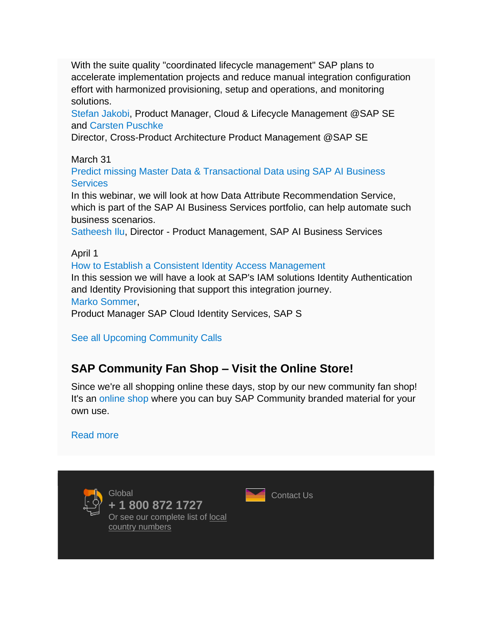With the suite quality "coordinated lifecycle management" SAP plans to accelerate implementation projects and reduce manual integration configuration effort with harmonized provisioning, setup and operations, and monitoring solutions.

[Stefan Jakobi,](https://s4cloudae36f1aac.hana.ondemand.com/data-buffer/sap/public/cuan/link/100/7D667C6D5241945403E837F1C7487909EC40799A?_V_=2&_K11_=0EE135BA16C3B3213A8331BBCEB89E0CAF5D545D&_L54AD1F204_=c2NlbmFyaW89TUxDUEcmdGVuYW50PW15MzAwNzIzLnM0aGFuYS5vbmRlbWFuZC5jb20mdGFyZ2V0PWh0dHBzOi8vcGVvcGxlLnNhcC5jb20vc3RlZmFuLmpha29iaT9zb3VyY2U9ZW1haWwtZy1jb21tdW5pdHktbmV3c2xldHRlci1NQVIyMSZzYXAtb3V0Ym91bmQtaWQ9N0Q2NjdDNkQ1MjQxOTQ1NDAzRTgzN0YxQzc0ODc5MDlFQzQwNzk5QSZzbWNfY2FtcGFpZ25faWQ9MDAwMDAxNjI0NyZzb3VyY2U9ZW1haWwtc21j&_K13_=259&_K14_=3b00282c58b09a0365b226019d7d1bcf52d511a8df8539244fd72addb317fb8e) Product Manager, Cloud & Lifecycle Management @SAP SE and [Carsten Puschke](https://s4cloudae36f1aac.hana.ondemand.com/data-buffer/sap/public/cuan/link/100/7D667C6D5241945403E837F1C7487909EC40799A?_V_=2&_K11_=B8C039B4B4D3D46AAD30135CE2EACAF4164FFCE1&_L54AD1F204_=c2NlbmFyaW89TUxDUEcmdGVuYW50PW15MzAwNzIzLnM0aGFuYS5vbmRlbWFuZC5jb20mdGFyZ2V0PWh0dHBzOi8vcGVvcGxlLnNhcC5jb20vY2Fyc3Rlbi5wdXNjaGtlP3NvdXJjZT1lbWFpbC1nLWNvbW11bml0eS1uZXdzbGV0dGVyLU1BUjIxJnNhcC1vdXRib3VuZC1pZD03RDY2N0M2RDUyNDE5NDU0MDNFODM3RjFDNzQ4NzkwOUVDNDA3OTlBJnNtY19jYW1wYWlnbl9pZD0wMDAwMDE2MjQ3JnNvdXJjZT1lbWFpbC1zbWM&_K13_=259&_K14_=5a326b19d4d2dd4937d7600d006401fc17ca470794d2531dcc3f25258f36c8b7)

Director, Cross-Product Architecture Product Management @SAP SE

March 31

[Predict missing Master Data & Transactional Data using SAP AI Business](https://s4cloudae36f1aac.hana.ondemand.com/data-buffer/sap/public/cuan/link/100/7D667C6D5241945403E837F1C7487909EC40799A?_V_=2&_K11_=3393E8CC69EDFCD5362242A823F10297E47A6541&_L54AD1F204_=c2NlbmFyaW89TUxDUEcmdGVuYW50PW15MzAwNzIzLnM0aGFuYS5vbmRlbWFuZC5jb20mdGFyZ2V0PWh0dHBzOi8vc2FwLXNlLnpvb20udXMvd2ViaW5hci9yZWdpc3Rlci9XTl84M1RETUJBcFQzS09UTkFiNVE3NGtRP3NvdXJjZT1lbWFpbC1nLWNvbW11bml0eS1uZXdzbGV0dGVyLU1BUjIxJnNhcC1vdXRib3VuZC1pZD03RDY2N0M2RDUyNDE5NDU0MDNFODM3RjFDNzQ4NzkwOUVDNDA3OTlBJnNtY19jYW1wYWlnbl9pZD0wMDAwMDE2MjQ3JnNvdXJjZT1lbWFpbC1zbWM&_K13_=259&_K14_=0765f8567f2ad7305b246e6401da03ea414416c466cf168a19edcebb528cd26a)  **[Services](https://s4cloudae36f1aac.hana.ondemand.com/data-buffer/sap/public/cuan/link/100/7D667C6D5241945403E837F1C7487909EC40799A?_V_=2&_K11_=3393E8CC69EDFCD5362242A823F10297E47A6541&_L54AD1F204_=c2NlbmFyaW89TUxDUEcmdGVuYW50PW15MzAwNzIzLnM0aGFuYS5vbmRlbWFuZC5jb20mdGFyZ2V0PWh0dHBzOi8vc2FwLXNlLnpvb20udXMvd2ViaW5hci9yZWdpc3Rlci9XTl84M1RETUJBcFQzS09UTkFiNVE3NGtRP3NvdXJjZT1lbWFpbC1nLWNvbW11bml0eS1uZXdzbGV0dGVyLU1BUjIxJnNhcC1vdXRib3VuZC1pZD03RDY2N0M2RDUyNDE5NDU0MDNFODM3RjFDNzQ4NzkwOUVDNDA3OTlBJnNtY19jYW1wYWlnbl9pZD0wMDAwMDE2MjQ3JnNvdXJjZT1lbWFpbC1zbWM&_K13_=259&_K14_=0765f8567f2ad7305b246e6401da03ea414416c466cf168a19edcebb528cd26a)** 

In this webinar, we will look at how Data Attribute Recommendation Service, which is part of the SAP AI Business Services portfolio, can help automate such business scenarios.

[Satheesh Ilu,](https://s4cloudae36f1aac.hana.ondemand.com/data-buffer/sap/public/cuan/link/100/7D667C6D5241945403E837F1C7487909EC40799A?_V_=2&_K11_=BCAEE1E02D35687C14E90C84817D16CA76586D55&_L54AD1F204_=c2NlbmFyaW89TUxDUEcmdGVuYW50PW15MzAwNzIzLnM0aGFuYS5vbmRlbWFuZC5jb20mdGFyZ2V0PWh0dHBzOi8vcGVvcGxlLnNhcC5jb20vc2F0aGVlc2hpbHU/c291cmNlPWVtYWlsLWctY29tbXVuaXR5LW5ld3NsZXR0ZXItTUFSMjEmc2FwLW91dGJvdW5kLWlkPTdENjY3QzZENTI0MTk0NTQwM0U4MzdGMUM3NDg3OTA5RUM0MDc5OUEmc21jX2NhbXBhaWduX2lkPTAwMDAwMTYyNDcmc291cmNlPWVtYWlsLXNtYw&_K13_=259&_K14_=d0200a5b7455b59e9fbe98ba76a980c1efa440a634f28343a0061d9492d4b1e4) Director - Product Management, SAP AI Business Services

April 1

[How to Establish a Consistent Identity Access Management](https://s4cloudae36f1aac.hana.ondemand.com/data-buffer/sap/public/cuan/link/100/7D667C6D5241945403E837F1C7487909EC40799A?_V_=2&_K11_=8091F795A0B1EDD7FDE83CB3C95073DDDD632813&_L54AD1F204_=c2NlbmFyaW89TUxDUEcmdGVuYW50PW15MzAwNzIzLnM0aGFuYS5vbmRlbWFuZC5jb20mdGFyZ2V0PWh0dHBzOi8vc2FwLXNlLnpvb20udXMvd2ViaW5hci9yZWdpc3Rlci9XTl9UWW9fLVlpNVNuLU1IMDlRTlBnMlNBP3NvdXJjZT1lbWFpbC1nLWNvbW11bml0eS1uZXdzbGV0dGVyLU1BUjIxJnNhcC1vdXRib3VuZC1pZD03RDY2N0M2RDUyNDE5NDU0MDNFODM3RjFDNzQ4NzkwOUVDNDA3OTlBJnNtY19jYW1wYWlnbl9pZD0wMDAwMDE2MjQ3JnNvdXJjZT1lbWFpbC1zbWM&_K13_=259&_K14_=fdda2e0e9229e72c5ac5ecbae6cfcd88e27265d98d50e3edd401c902c8b38da7)

In this session we will have a look at SAP's IAM solutions Identity Authentication and Identity Provisioning that support this integration journey. [Marko Sommer,](https://s4cloudae36f1aac.hana.ondemand.com/data-buffer/sap/public/cuan/link/100/7D667C6D5241945403E837F1C7487909EC40799A?_V_=2&_K11_=97F4BE84FB7AB0663CC787912B29A87F803EFAC2&_L54AD1F204_=c2NlbmFyaW89TUxDUEcmdGVuYW50PW15MzAwNzIzLnM0aGFuYS5vbmRlbWFuZC5jb20mdGFyZ2V0PWh0dHBzOi8vcGVvcGxlLnNhcC5jb20vbWFya28uc29tbWVyP3NvdXJjZT1lbWFpbC1nLWNvbW11bml0eS1uZXdzbGV0dGVyLU1BUjIxJnNhcC1vdXRib3VuZC1pZD03RDY2N0M2RDUyNDE5NDU0MDNFODM3RjFDNzQ4NzkwOUVDNDA3OTlBJnNtY19jYW1wYWlnbl9pZD0wMDAwMDE2MjQ3JnNvdXJjZT1lbWFpbC1zbWM&_K13_=259&_K14_=20315d5a4d62f30cac3b5d0f4022e52de326f5e55af8f1b3aa919d6d56217634)

Product Manager SAP Cloud Identity Services, SAP S

[See all Upcoming Community Calls](https://s4cloudae36f1aac.hana.ondemand.com/data-buffer/sap/public/cuan/link/100/7D667C6D5241945403E837F1C7487909EC40799A?_V_=2&_K11_=8054ED81C0567AC080491754EC93F742A3A166C0&_L54AD1F204_=c2NlbmFyaW89TUxDUEcmdGVuYW50PW15MzAwNzIzLnM0aGFuYS5vbmRlbWFuZC5jb20mdGFyZ2V0PWh0dHBzOi8vY29tbXVuaXR5LnNhcC5jb20vcmVzb3VyY2VzL2NvbW11bml0eS1jYWxscy8/c291cmNlPWVtYWlsLWctY29tbXVuaXR5LW5ld3NsZXR0ZXItTUFSMjEmc2FwLW91dGJvdW5kLWlkPTdENjY3QzZENTI0MTk0NTQwM0U4MzdGMUM3NDg3OTA5RUM0MDc5OUEmc21jX2NhbXBhaWduX2lkPTAwMDAwMTYyNDcmc291cmNlPWVtYWlsLXNtYw&_K13_=259&_K14_=1b0c4b021d9705f32f91acf59f94fdd5ec5d0007e892abc6921f3de55b589786)

# **SAP Community Fan Shop – Visit the Online Store!**

Since we're all shopping online these days, stop by our new community fan shop! It's an [online shop](https://s4cloudae36f1aac.hana.ondemand.com/data-buffer/sap/public/cuan/link/100/7D667C6D5241945403E837F1C7487909EC40799A?_V_=2&_K11_=3E0BD75A5EEA499E79B10140A541D89480AB0118&_L54AD1F204_=c2NlbmFyaW89TUxDUEcmdGVuYW50PW15MzAwNzIzLnM0aGFuYS5vbmRlbWFuZC5jb20mdGFyZ2V0PWh0dHBzOi8vZW1lYS5leHQuc2FwbWVyY2hhbmRpc2UuY29tLz9zb3VyY2U9ZW1haWwtZy1jb21tdW5pdHktbmV3c2xldHRlci1NQVIyMSZzYXAtb3V0Ym91bmQtaWQ9N0Q2NjdDNkQ1MjQxOTQ1NDAzRTgzN0YxQzc0ODc5MDlFQzQwNzk5QSZzbWNfY2FtcGFpZ25faWQ9MDAwMDAxNjI0NyZzb3VyY2U9ZW1haWwtc21j&_K13_=259&_K14_=63fb2636006c6097fb01959fcc8a05446fdae6c017e43ec15fcfc4cd9535b389) where you can buy SAP Community branded material for your own use.

#### [Read more](https://s4cloudae36f1aac.hana.ondemand.com/data-buffer/sap/public/cuan/link/100/7D667C6D5241945403E837F1C7487909EC40799A?_V_=2&_K11_=48C0FDA6A84AF73653DA05E3CC0BA7D664E2C3F4&_L54AD1F204_=c2NlbmFyaW89TUxDUEcmdGVuYW50PW15MzAwNzIzLnM0aGFuYS5vbmRlbWFuZC5jb20mdGFyZ2V0PWh0dHBzOi8vZW1lYS5leHQuc2FwbWVyY2hhbmRpc2UuY29tL2NvLWJyYW5kaW5nL3NhcC1jb21tdW5pdHkuaHRtbC8vP3NvdXJjZT1lbWFpbC1nLWNvbW11bml0eS1uZXdzbGV0dGVyLU1BUjIxJnNhcC1vdXRib3VuZC1pZD03RDY2N0M2RDUyNDE5NDU0MDNFODM3RjFDNzQ4NzkwOUVDNDA3OTlBJnNtY19jYW1wYWlnbl9pZD0wMDAwMDE2MjQ3JnNvdXJjZT1lbWFpbC1zbWM&_K13_=259&_K14_=bada36a171ee82b07ac2876a8726bb10f30863c27598ff2df7db22e7df577306)





[Contact Us](https://s4cloudae36f1aac.hana.ondemand.com/data-buffer/sap/public/cuan/link/100/7D667C6D5241945403E837F1C7487909EC40799A?_V_=2&_K11_=71802D1D87E26EA8B383BC42EC4FB45255995D37&_L54AD1F204_=c2NlbmFyaW89TUxDUEcmdGVuYW50PW15MzAwNzIzLnM0aGFuYS5vbmRlbWFuZC5jb20mdGFyZ2V0PWh0dHBzOi8vd3d3LnNhcC5jb20vcmVnaXN0cmF0aW9uL2NvbnRhY3QuaHRtbD9zb3VyY2U9ZW1haWwtZy1jb21tdW5pdHktbmV3c2xldHRlci1NQVIyMSZzYXAtb3V0Ym91bmQtaWQ9N0Q2NjdDNkQ1MjQxOTQ1NDAzRTgzN0YxQzc0ODc5MDlFQzQwNzk5QSZzbWNfY2FtcGFpZ25faWQ9MDAwMDAxNjI0NyZzb3VyY2U9ZW1haWwtc21j&_K13_=259&_K14_=753a9b1339381bb2f1c6b779b54c40cd9b5e0bc839185d753c9c87fc01de39a1)